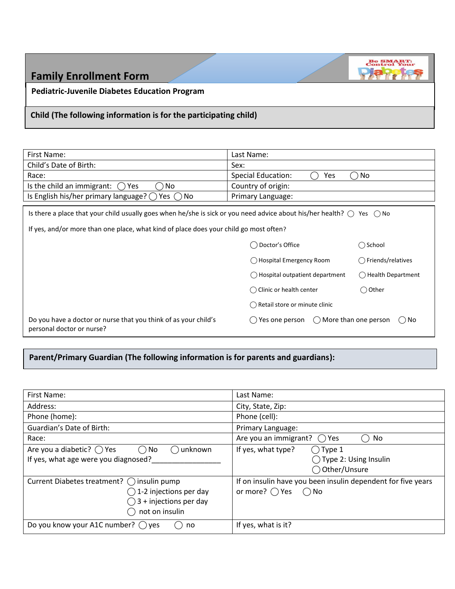| <b>Family Enrollment Form</b>                                    |            | <b>Be SMART:</b> |  |  |
|------------------------------------------------------------------|------------|------------------|--|--|
| <b>Pediatric-Juvenile Diabetes Education Program</b>             |            |                  |  |  |
| Child (The following information is for the participating child) |            |                  |  |  |
|                                                                  |            |                  |  |  |
| First Name:                                                      | Last Name: |                  |  |  |

| Child's Date of Birth:                                                                                                                                                                                                           | Sex:                                      |                      |
|----------------------------------------------------------------------------------------------------------------------------------------------------------------------------------------------------------------------------------|-------------------------------------------|----------------------|
| Race:                                                                                                                                                                                                                            | <b>Special Education:</b><br>Yes          | No.                  |
| No<br>Is the child an immigrant:<br>Yes                                                                                                                                                                                          | Country of origin:                        |                      |
| Is English his/her primary language? $\bigcirc$<br>No.<br>Yes $( )$                                                                                                                                                              | Primary Language:                         |                      |
| Is there a place that your child usually goes when he/she is sick or you need advice about his/her health? $\bigcirc$ Yes $\bigcirc$ No<br>If yes, and/or more than one place, what kind of place does your child go most often? |                                           |                      |
|                                                                                                                                                                                                                                  | Doctor's Office                           | ) School<br>( )      |
|                                                                                                                                                                                                                                  | ◯ Hospital Emergency Room                 | Friends/relatives    |
|                                                                                                                                                                                                                                  | () Hospital outpatient department         | () Health Department |
|                                                                                                                                                                                                                                  | $\bigcap$ Clinic or health center         | ◯ Other              |
|                                                                                                                                                                                                                                  | $\bigcap$ Retail store or minute clinic   |                      |
| Do you have a doctor or nurse that you think of as your child's<br>personal doctor or nurse?                                                                                                                                     | () More than one person<br>Yes one person | $()$ No              |

**Parent/Primary Guardian (The following information is for parents and guardians):**

| First Name:                                                  | Last Name:                                                   |
|--------------------------------------------------------------|--------------------------------------------------------------|
| Address:                                                     | City, State, Zip:                                            |
| Phone (home):                                                | Phone (cell):                                                |
| Guardian's Date of Birth:                                    | Primary Language:                                            |
| Race:                                                        | Are you an immigrant? $\bigcap$ Yes<br>No                    |
| Are you a diabetic? $\bigcap$ Yes<br>$\bigcap$ No<br>unknown | If yes, what type?<br>$\bigcirc$ Type 1                      |
| If yes, what age were you diagnosed?                         | $\bigcirc$ Type 2: Using Insulin                             |
|                                                              | ◯ Other/Unsure                                               |
| Current Diabetes treatment? () insulin pump                  | If on insulin have you been insulin dependent for five years |
| 1-2 injections per day                                       | or more? $\bigcirc$ Yes<br>$\bigcirc$ No                     |
| 3 + injections per day                                       |                                                              |
| not on insulin                                               |                                                              |
|                                                              |                                                              |
| Do you know your A1C number? $\bigcirc$ yes<br>no            | If yes, what is it?                                          |
|                                                              |                                                              |